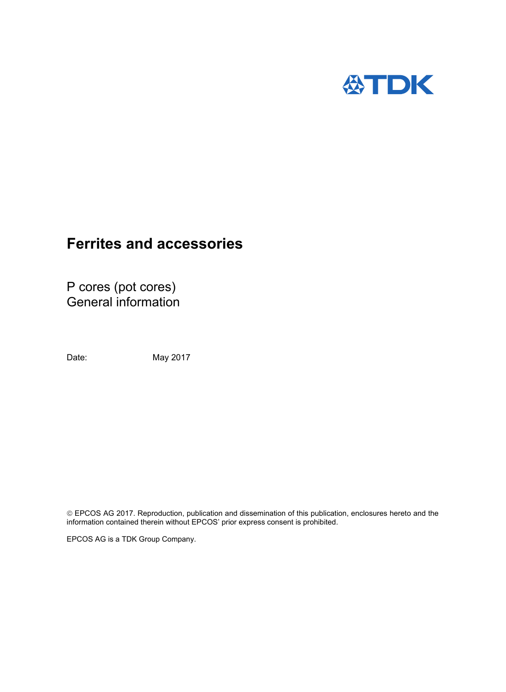

# **Ferrites and accessories**

P cores (pot cores) General information

Date: May 2017

 EPCOS AG 2017. Reproduction, publication and dissemination of this publication, enclosures hereto and the information contained therein without EPCOS' prior express consent is prohibited.

EPCOS AG is a TDK Group Company.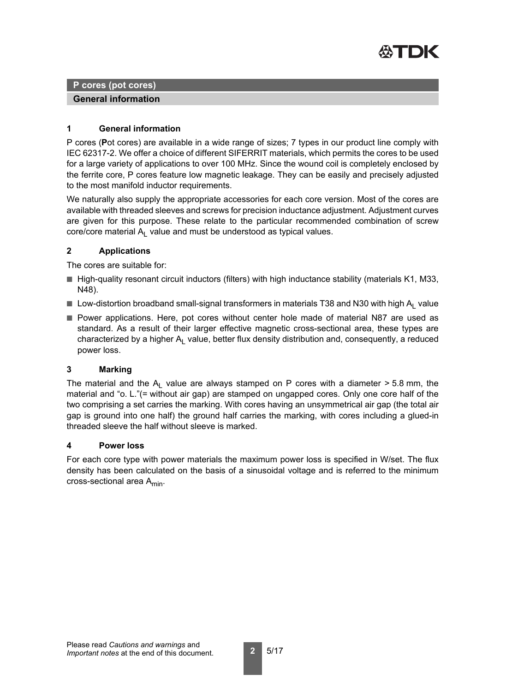

**P cores (pot cores)**

**General information**

## **1 General information**

P cores (**P**ot cores) are available in a wide range of sizes; 7 types in our product line comply with IEC 62317-2. We offer a choice of different SIFERRIT materials, which permits the cores to be used for a large variety of applications to over 100 MHz. Since the wound coil is completely enclosed by the ferrite core, P cores feature low magnetic leakage. They can be easily and precisely adjusted to the most manifold inductor requirements.

We naturally also supply the appropriate accessories for each core version. Most of the cores are available with threaded sleeves and screws for precision inductance adjustment. Adjustment curves are given for this purpose. These relate to the particular recommended combination of screw core/core material  $A<sub>l</sub>$  value and must be understood as typical values.

# **2 Applications**

The cores are suitable for:

- High-quality resonant circuit inductors (filters) with high inductance stability (materials K1, M33, N48).
- **Low-distortion broadband small-signal transformers in materials T38 and N30 with high A<sub>L</sub> value**
- Power applications. Here, pot cores without center hole made of material N87 are used as standard. As a result of their larger effective magnetic cross-sectional area, these types are characterized by a higher  $A<sub>l</sub>$  value, better flux density distribution and, consequently, a reduced power loss.

#### **3 Marking**

The material and the  $A_L$  value are always stamped on P cores with a diameter > 5.8 mm, the material and "o. L."(= without air gap) are stamped on ungapped cores. Only one core half of the two comprising a set carries the marking. With cores having an unsymmetrical air gap (the total air gap is ground into one half) the ground half carries the marking, with cores including a glued-in threaded sleeve the half without sleeve is marked.

#### **4 Power loss**

For each core type with power materials the maximum power loss is specified in W/set. The flux density has been calculated on the basis of a sinusoidal voltage and is referred to the minimum cross-sectional area A<sub>min</sub>.